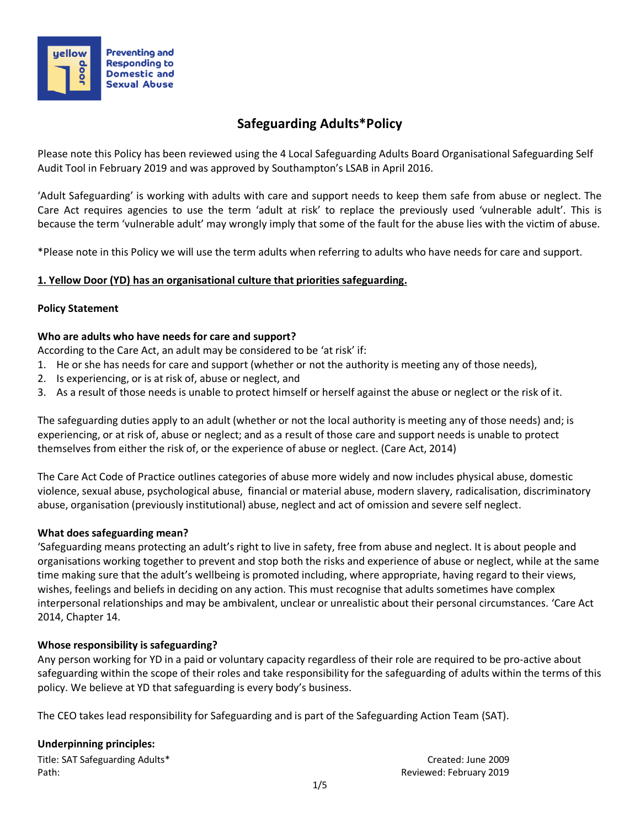

# **Safeguarding Adults\*Policy**

Please note this Policy has been reviewed using the 4 Local Safeguarding Adults Board Organisational Safeguarding Self Audit Tool in February 2019 and was approved by Southampton's LSAB in April 2016.

'Adult Safeguarding' is working with adults with care and support needs to keep them safe from abuse or neglect. The Care Act requires agencies to use the term 'adult at risk' to replace the previously used 'vulnerable adult'. This is because the term 'vulnerable adult' may wrongly imply that some of the fault for the abuse lies with the victim of abuse.

\*Please note in this Policy we will use the term adults when referring to adults who have needs for care and support.

# **1. Yellow Door (YD) has an organisational culture that priorities safeguarding.**

### **Policy Statement**

### **Who are adults who have needs for care and support?**

According to the Care Act, an adult may be considered to be 'at risk' if:

- 1. He or she has needs for care and support (whether or not the authority is meeting any of those needs),
- 2. Is experiencing, or is at risk of, abuse or neglect, and
- 3. As a result of those needs is unable to protect himself or herself against the abuse or neglect or the risk of it.

The safeguarding duties apply to an adult (whether or not the local authority is meeting any of those needs) and; is experiencing, or at risk of, abuse or neglect; and as a result of those care and support needs is unable to protect themselves from either the risk of, or the experience of abuse or neglect. (Care Act, 2014)

The Care Act Code of Practice outlines categories of abuse more widely and now includes physical abuse, domestic violence, sexual abuse, psychological abuse, financial or material abuse, modern slavery, radicalisation, discriminatory abuse, organisation (previously institutional) abuse, neglect and act of omission and severe self neglect.

### **What does safeguarding mean?**

'Safeguarding means protecting an adult's right to live in safety, free from abuse and neglect. It is about people and organisations working together to prevent and stop both the risks and experience of abuse or neglect, while at the same time making sure that the adult's wellbeing is promoted including, where appropriate, having regard to their views, wishes, feelings and beliefs in deciding on any action. This must recognise that adults sometimes have complex interpersonal relationships and may be ambivalent, unclear or unrealistic about their personal circumstances. 'Care Act 2014, Chapter 14.

### **Whose responsibility is safeguarding?**

Any person working for YD in a paid or voluntary capacity regardless of their role are required to be pro-active about safeguarding within the scope of their roles and take responsibility for the safeguarding of adults within the terms of this policy. We believe at YD that safeguarding is every body's business.

The CEO takes lead responsibility for Safeguarding and is part of the Safeguarding Action Team (SAT).

#### **Underpinning principles:**

| Title: SAT Safeguarding Adults* |  |
|---------------------------------|--|
| Path:                           |  |

Created: June 2009 Reviewed: February 2019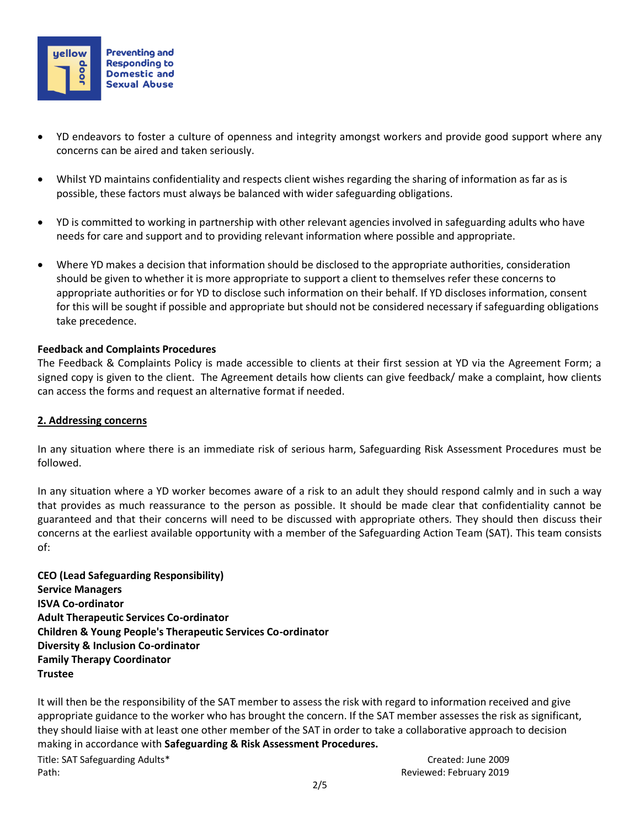

- YD endeavors to foster a culture of openness and integrity amongst workers and provide good support where any concerns can be aired and taken seriously.
- Whilst YD maintains confidentiality and respects client wishes regarding the sharing of information as far as is possible, these factors must always be balanced with wider safeguarding obligations.
- YD is committed to working in partnership with other relevant agencies involved in safeguarding adults who have needs for care and support and to providing relevant information where possible and appropriate.
- Where YD makes a decision that information should be disclosed to the appropriate authorities, consideration should be given to whether it is more appropriate to support a client to themselves refer these concerns to appropriate authorities or for YD to disclose such information on their behalf. If YD discloses information, consent for this will be sought if possible and appropriate but should not be considered necessary if safeguarding obligations take precedence.

#### **Feedback and Complaints Procedures**

The Feedback & Complaints Policy is made accessible to clients at their first session at YD via the Agreement Form; a signed copy is given to the client. The Agreement details how clients can give feedback/ make a complaint, how clients can access the forms and request an alternative format if needed.

### **2. Addressing concerns**

In any situation where there is an immediate risk of serious harm, Safeguarding Risk Assessment Procedures must be followed.

In any situation where a YD worker becomes aware of a risk to an adult they should respond calmly and in such a way that provides as much reassurance to the person as possible. It should be made clear that confidentiality cannot be guaranteed and that their concerns will need to be discussed with appropriate others. They should then discuss their concerns at the earliest available opportunity with a member of the Safeguarding Action Team (SAT). This team consists of:

**CEO (Lead Safeguarding Responsibility) Service Managers ISVA Co-ordinator Adult Therapeutic Services Co-ordinator Children & Young People's Therapeutic Services Co-ordinator Diversity & Inclusion Co-ordinator Family Therapy Coordinator Trustee**

Title: SAT Safeguarding Adults\* Created: June 2009 Path: **Path:** Reviewed: February 2019 It will then be the responsibility of the SAT member to assess the risk with regard to information received and give appropriate guidance to the worker who has brought the concern. If the SAT member assesses the risk as significant, they should liaise with at least one other member of the SAT in order to take a collaborative approach to decision making in accordance with **Safeguarding & Risk Assessment Procedures.**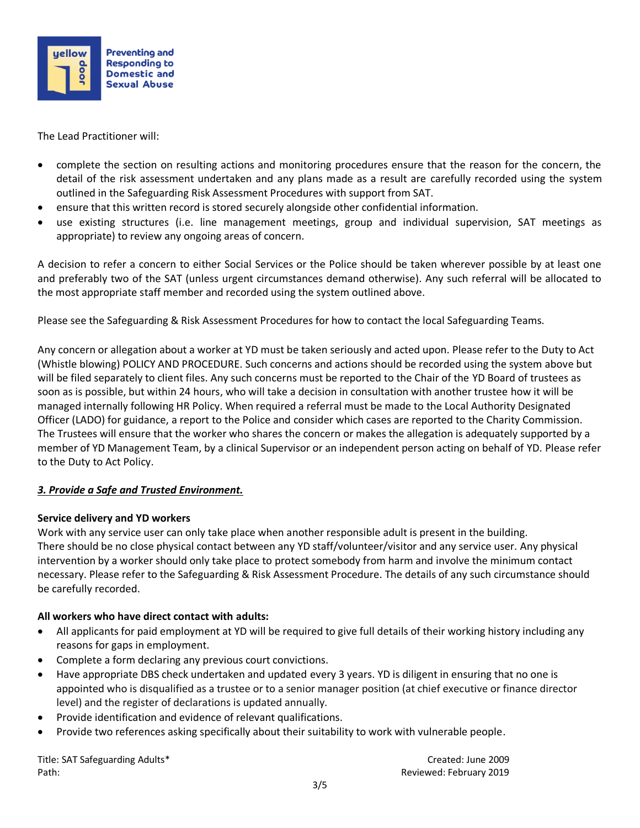

The Lead Practitioner will:

- complete the section on resulting actions and monitoring procedures ensure that the reason for the concern, the detail of the risk assessment undertaken and any plans made as a result are carefully recorded using the system outlined in the Safeguarding Risk Assessment Procedures with support from SAT.
- ensure that this written record is stored securely alongside other confidential information.
- use existing structures (i.e. line management meetings, group and individual supervision, SAT meetings as appropriate) to review any ongoing areas of concern.

A decision to refer a concern to either Social Services or the Police should be taken wherever possible by at least one and preferably two of the SAT (unless urgent circumstances demand otherwise). Any such referral will be allocated to the most appropriate staff member and recorded using the system outlined above.

Please see the Safeguarding & Risk Assessment Procedures for how to contact the local Safeguarding Teams.

Any concern or allegation about a worker at YD must be taken seriously and acted upon. Please refer to the Duty to Act (Whistle blowing) POLICY AND PROCEDURE. Such concerns and actions should be recorded using the system above but will be filed separately to client files. Any such concerns must be reported to the Chair of the YD Board of trustees as soon as is possible, but within 24 hours, who will take a decision in consultation with another trustee how it will be managed internally following HR Policy. When required a referral must be made to the Local Authority Designated Officer (LADO) for guidance, a report to the Police and consider which cases are reported to the Charity Commission. The Trustees will ensure that the worker who shares the concern or makes the allegation is adequately supported by a member of YD Management Team, by a clinical Supervisor or an independent person acting on behalf of YD. Please refer to the Duty to Act Policy.

### *3. Provide a Safe and Trusted Environment.*

### **Service delivery and YD workers**

Work with any service user can only take place when another responsible adult is present in the building. There should be no close physical contact between any YD staff/volunteer/visitor and any service user. Any physical intervention by a worker should only take place to protect somebody from harm and involve the minimum contact necessary. Please refer to the Safeguarding & Risk Assessment Procedure. The details of any such circumstance should be carefully recorded.

### **All workers who have direct contact with adults:**

- All applicants for paid employment at YD will be required to give full details of their working history including any reasons for gaps in employment.
- Complete a form declaring any previous court convictions.
- Have appropriate DBS check undertaken and updated every 3 years. YD is diligent in ensuring that no one is appointed who is disqualified as a trustee or to a senior manager position (at chief executive or finance director level) and the register of declarations is updated annually.
- Provide identification and evidence of relevant qualifications.
- Provide two references asking specifically about their suitability to work with vulnerable people.

Title: SAT Safeguarding Adults\* Created: June 2009 Path: **Path:** Reviewed: February 2019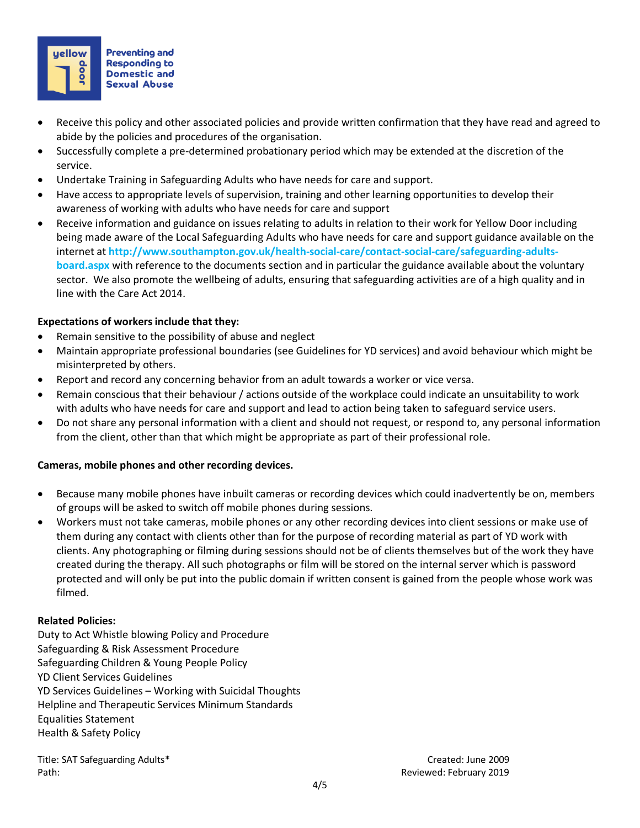

- Receive this policy and other associated policies and provide written confirmation that they have read and agreed to abide by the policies and procedures of the organisation.
- Successfully complete a pre-determined probationary period which may be extended at the discretion of the service.
- Undertake Training in Safeguarding Adults who have needs for care and support.
- Have access to appropriate levels of supervision, training and other learning opportunities to develop their awareness of working with adults who have needs for care and support
- Receive information and guidance on issues relating to adults in relation to their work for Yellow Door including being made aware of the Local Safeguarding Adults who have needs for care and support guidance available on the internet at **http://www.southampton.gov.uk/health-social-care/contact-social-care/safeguarding-adultsboard.aspx** with reference to the documents section and in particular the guidance available about the voluntary sector. We also promote the wellbeing of adults, ensuring that safeguarding activities are of a high quality and in line with [the Care Act 2014.](http://www.southampton.gov.uk/health-social-care/the-care-act/careact-background-info.aspx)

## **Expectations of workers include that they:**

- Remain sensitive to the possibility of abuse and neglect
- Maintain appropriate professional boundaries (see Guidelines for YD services) and avoid behaviour which might be misinterpreted by others.
- Report and record any concerning behavior from an adult towards a worker or vice versa.
- Remain conscious that their behaviour / actions outside of the workplace could indicate an unsuitability to work with adults who have needs for care and support and lead to action being taken to safeguard service users.
- Do not share any personal information with a client and should not request, or respond to, any personal information from the client, other than that which might be appropriate as part of their professional role.

### **Cameras, mobile phones and other recording devices.**

- Because many mobile phones have inbuilt cameras or recording devices which could inadvertently be on, members of groups will be asked to switch off mobile phones during sessions.
- Workers must not take cameras, mobile phones or any other recording devices into client sessions or make use of them during any contact with clients other than for the purpose of recording material as part of YD work with clients. Any photographing or filming during sessions should not be of clients themselves but of the work they have created during the therapy. All such photographs or film will be stored on the internal server which is password protected and will only be put into the public domain if written consent is gained from the people whose work was filmed.

### **Related Policies:**

Duty to Act Whistle blowing Policy and Procedure Safeguarding & Risk Assessment Procedure Safeguarding Children & Young People Policy YD Client Services Guidelines YD Services Guidelines – Working with Suicidal Thoughts Helpline and Therapeutic Services Minimum Standards Equalities Statement Health & Safety Policy

Title: SAT Safeguarding Adults\* Created: June 2009 Path: Reviewed: February 2019